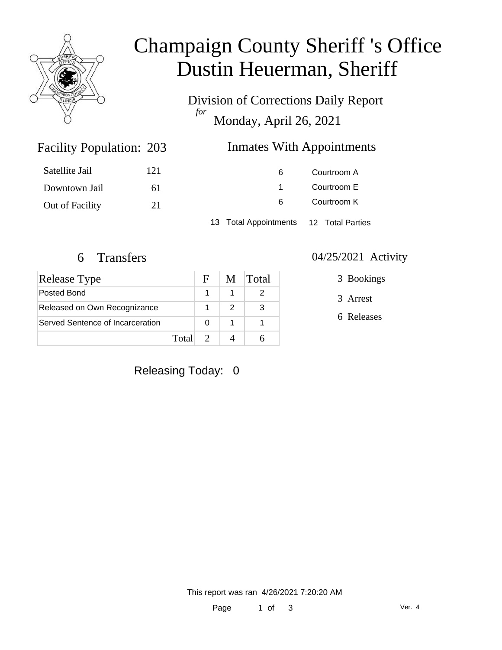

# Champaign County Sheriff 's Office Dustin Heuerman, Sheriff

Division of Corrections Daily Report *for* Monday, April 26, 2021

### Inmates With Appointments

| Satellite Jail  | 121 | 6                     | Courtroom A      |  |
|-----------------|-----|-----------------------|------------------|--|
| Downtown Jail   | 61  |                       | Courtroom E      |  |
| Out of Facility | 21  | 6                     | Courtroom K      |  |
|                 |     | 13 Total Appointments | 12 Total Parties |  |

Facility Population: 203

| Release Type                     |       | F. | M | <b>Total</b> |
|----------------------------------|-------|----|---|--------------|
| Posted Bond                      |       |    |   |              |
| Released on Own Recognizance     |       |    |   | 3            |
| Served Sentence of Incarceration |       |    |   |              |
|                                  | Total |    |   |              |

#### 6 Transfers 04/25/2021 Activity

3 Bookings

3 Arrest

6 Releases

Releasing Today: 0

This report was ran 4/26/2021 7:20:20 AM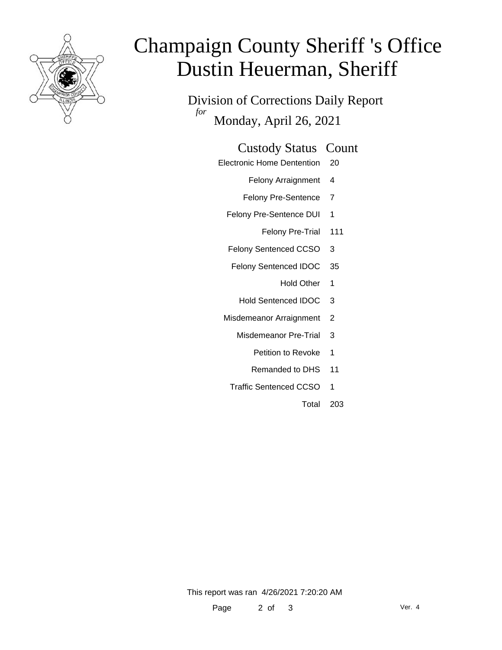

# Champaign County Sheriff 's Office Dustin Heuerman, Sheriff

Division of Corrections Daily Report *for* Monday, April 26, 2021

#### Custody Status Count

- Electronic Home Dentention 20
	- Felony Arraignment 4
	- Felony Pre-Sentence 7
	- Felony Pre-Sentence DUI 1
		- Felony Pre-Trial 111
	- Felony Sentenced CCSO 3
	- Felony Sentenced IDOC 35
		- Hold Other 1
		- Hold Sentenced IDOC 3
	- Misdemeanor Arraignment 2
		- Misdemeanor Pre-Trial 3
			- Petition to Revoke 1
			- Remanded to DHS 11
		- Traffic Sentenced CCSO 1
			- Total 203

This report was ran 4/26/2021 7:20:20 AM